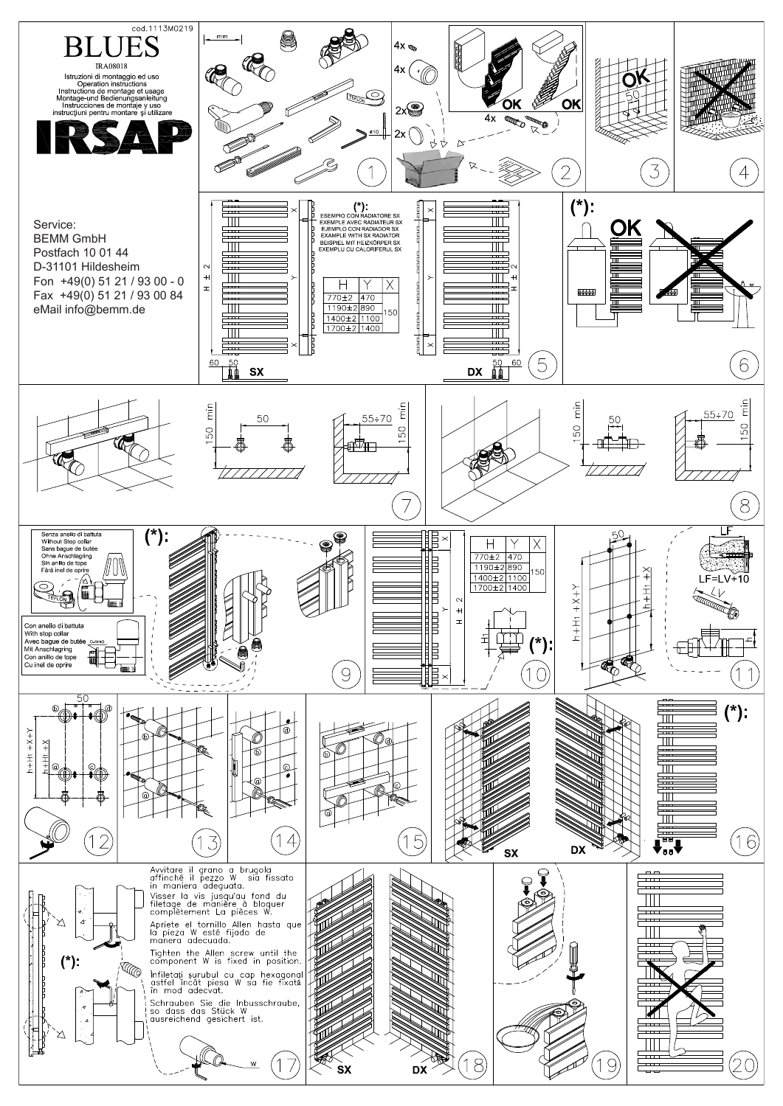